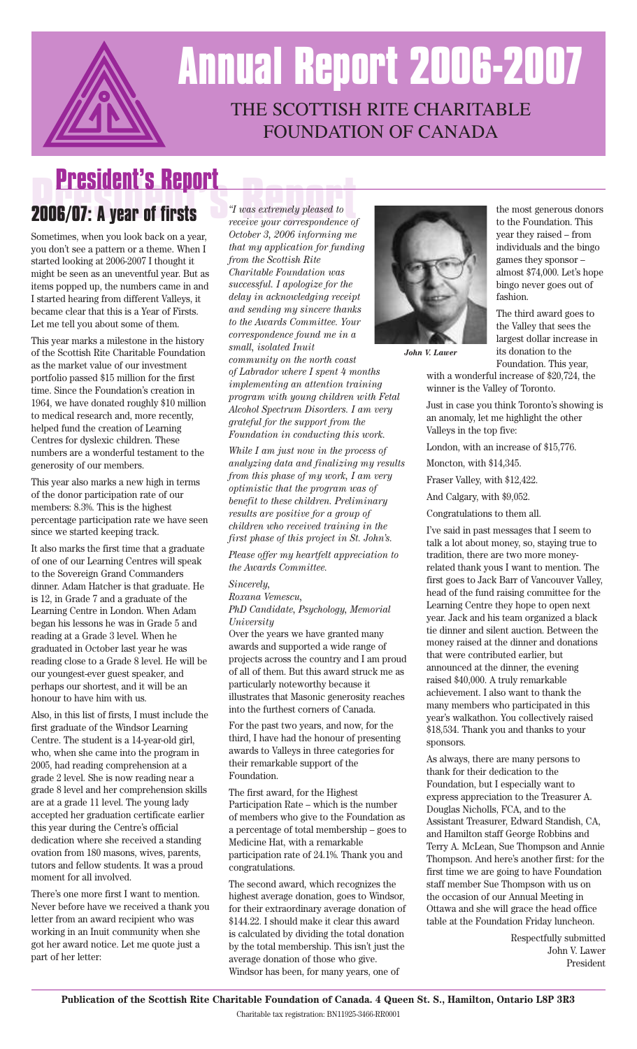

# THE SCOTTISH RITE CHARITABLE FOUNDATION OF CANADA **Annual Report 2006-2007**

# **President's Report**

### **President's Report 2006/07: A year of firsts**

Sometimes, when you look back on a year, you don't see a pattern or a theme. When I started looking at 2006-2007 I thought it might be seen as an uneventful year. But as items popped up, the numbers came in and I started hearing from different Valleys, it became clear that this is a Year of Firsts. Let me tell you about some of them.

This year marks a milestone in the history of the Scottish Rite Charitable Foundation as the market value of our investment portfolio passed \$15 million for the first time. Since the Foundation's creation in 1964, we have donated roughly \$10 million to medical research and, more recently, helped fund the creation of Learning Centres for dyslexic children. These numbers are a wonderful testament to the generosity of our members.

This year also marks a new high in terms of the donor participation rate of our members: 8.3%. This is the highest percentage participation rate we have seen since we started keeping track.

It also marks the first time that a graduate of one of our Learning Centres will speak to the Sovereign Grand Commanders dinner. Adam Hatcher is that graduate. He is 12, in Grade 7 and a graduate of the Learning Centre in London. When Adam began his lessons he was in Grade 5 and reading at a Grade 3 level. When he graduated in October last year he was reading close to a Grade 8 level. He will be our youngest-ever guest speaker, and perhaps our shortest, and it will be an honour to have him with us.

Also, in this list of firsts, I must include the first graduate of the Windsor Learning Centre. The student is a 14-year-old girl, who, when she came into the program in 2005, had reading comprehension at a grade 2 level. She is now reading near a grade 8 level and her comprehension skills are at a grade 11 level. The young lady accepted her graduation certificate earlier this year during the Centre's official dedication where she received a standing ovation from 180 masons, wives, parents, tutors and fellow students. It was a proud moment for all involved.

There's one more first I want to mention. Never before have we received a thank you letter from an award recipient who was working in an Inuit community when she got her award notice. Let me quote just a part of her letter:

*"I was extremely pleased to receive your correspondence of October 3, 2006 informing me that my application for funding from the Scottish Rite Charitable Foundation was successful. I apologize for the delay in acknowledging receipt and sending my sincere thanks to the Awards Committee. Your correspondence found me in a small, isolated Inuit*

*community on the north coast of Labrador where I spent 4 months implementing an attention training program with young children with Fetal Alcohol Spectrum Disorders. I am very grateful for the support from the Foundation in conducting this work.*

*While I am just now in the process of analyzing data and finalizing my results from this phase of my work, I am very optimistic that the program was of benefit to these children. Preliminary results are positive for a group of children who received training in the first phase of this project in St. John's.*

*Please offer my heartfelt appreciation to the Awards Committee.*

#### *Sincerely,*

*Roxana Vemescu,*

*PhD Candidate, Psychology, Memorial University*

Over the years we have granted many awards and supported a wide range of projects across the country and I am proud of all of them. But this award struck me as particularly noteworthy because it illustrates that Masonic generosity reaches into the furthest corners of Canada.

For the past two years, and now, for the third, I have had the honour of presenting awards to Valleys in three categories for their remarkable support of the Foundation.

The first award, for the Highest Participation Rate – which is the number of members who give to the Foundation as a percentage of total membership – goes to Medicine Hat, with a remarkable participation rate of 24.1%. Thank you and congratulations.

The second award, which recognizes the highest average donation, goes to Windsor, for their extraordinary average donation of \$144.22. I should make it clear this award is calculated by dividing the total donation by the total membership. This isn't just the average donation of those who give. Windsor has been, for many years, one of



*John V. Lawer*

the most generous donors to the Foundation. This year they raised – from individuals and the bingo games they sponsor – almost \$74,000. Let's hope bingo never goes out of fashion.

The third award goes to the Valley that sees the largest dollar increase in its donation to the Foundation. This year,

with a wonderful increase of \$20,724, the winner is the Valley of Toronto.

Just in case you think Toronto's showing is an anomaly, let me highlight the other Valleys in the top five:

London, with an increase of \$15,776.

Moncton, with \$14,345.

Fraser Valley, with \$12,422.

And Calgary, with \$9,052.

Congratulations to them all.

I've said in past messages that I seem to talk a lot about money, so, staying true to tradition, there are two more moneyrelated thank yous I want to mention. The first goes to Jack Barr of Vancouver Valley, head of the fund raising committee for the Learning Centre they hope to open next year. Jack and his team organized a black tie dinner and silent auction. Between the money raised at the dinner and donations that were contributed earlier, but announced at the dinner, the evening raised \$40,000. A truly remarkable achievement. I also want to thank the many members who participated in this year's walkathon. You collectively raised \$18,534. Thank you and thanks to your sponsors.

As always, there are many persons to thank for their dedication to the Foundation, but I especially want to express appreciation to the Treasurer A. Douglas Nicholls, FCA, and to the Assistant Treasurer, Edward Standish, CA, and Hamilton staff George Robbins and Terry A. McLean, Sue Thompson and Annie Thompson. And here's another first: for the first time we are going to have Foundation staff member Sue Thompson with us on the occasion of our Annual Meeting in Ottawa and she will grace the head office table at the Foundation Friday luncheon.

> Respectfully submitted John V. Lawer President